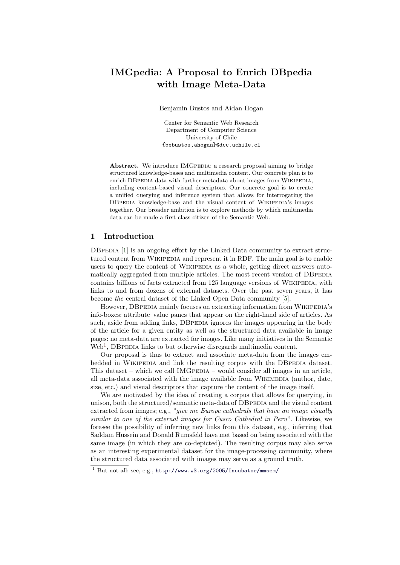# IMGpedia: A Proposal to Enrich DBpedia with Image Meta-Data

Benjamin Bustos and Aidan Hogan

Center for Semantic Web Research Department of Computer Science University of Chile {bebustos,ahogan}@dcc.uchile.cl

Abstract. We introduce IMGPEDIA: a research proposal aiming to bridge structured knowledge-bases and multimedia content. Our concrete plan is to enrich DBPEDIA data with further metadata about images from WIKIPEDIA, including content-based visual descriptors. Our concrete goal is to create a unified querying and inference system that allows for interrogating the DBPEDIA knowledge-base and the visual content of WIKIPEDIA's images together. Our broader ambition is to explore methods by which multimedia data can be made a first-class citizen of the Semantic Web.

### 1 Introduction

DBPEDIA [\[1\]](#page-3-0) is an ongoing effort by the Linked Data community to extract structured content from WIKIPEDIA and represent it in RDF. The main goal is to enable users to query the content of WIKIPEDIA as a whole, getting direct answers automatically aggregated from multiple articles. The most recent version of DBPEDIA contains billions of facts extracted from 125 language versions of WIKIPEDIA, with links to and from dozens of external datasets. Over the past seven years, it has become the central dataset of the Linked Open Data community [\[5\]](#page-3-1).

However, DBPEDIA mainly focuses on extracting information from WIKIPEDIA's info-boxes: attribute–value panes that appear on the right-hand side of articles. As such, aside from adding links, DBPEDIA ignores the images appearing in the body of the article for a given entity as well as the structured data available in image pages: no meta-data are extracted for images. Like many initiatives in the Semantic Web<sup>[1](#page-0-0)</sup>, DBPEDIA links to but otherwise disregards multimedia content.

Our proposal is thus to extract and associate meta-data from the images embedded in WIKIPEDIA and link the resulting corpus with the DBPEDIA dataset. This dataset – which we call  $IMGPEDIA$  – would consider all images in an article, all meta-data associated with the image available from WIKIMEDIA (author, date, size, etc.) and visual descriptors that capture the content of the image itself.

We are motivated by the idea of creating a corpus that allows for querying, in unison, both the structured/semantic meta-data of DBPEDIA and the visual content extracted from images; e.g., "give me Europe cathedrals that have an image visually similar to one of the external images for Cusco Cathedral in Peru". Likewise, we foresee the possibility of inferring new links from this dataset, e.g., inferring that Saddam Hussein and Donald Rumsfeld have met based on being associated with the same image (in which they are co-depicted). The resulting corpus may also serve as an interesting experimental dataset for the image-processing community, where the structured data associated with images may serve as a ground truth.

<span id="page-0-0"></span> $\frac{1}{1}$  But not all: see, e.g., <http://www.w3.org/2005/Incubator/mmsem/>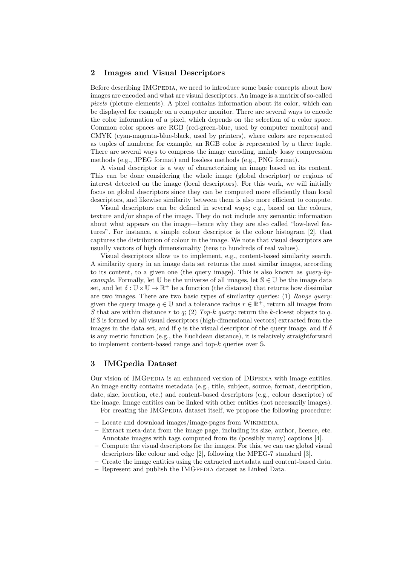#### 2 Images and Visual Descriptors

Before describing IMGPEDIA, we need to introduce some basic concepts about how images are encoded and what are visual descriptors. An image is a matrix of so-called pixels (picture elements). A pixel contains information about its color, which can be displayed for example on a computer monitor. There are several ways to encode the color information of a pixel, which depends on the selection of a color space. Common color spaces are RGB (red-green-blue, used by computer monitors) and CMYK (cyan-magenta-blue-black, used by printers), where colors are represented as tuples of numbers; for example, an RGB color is represented by a three tuple. There are several ways to compress the image encoding, mainly lossy compression methods (e.g., JPEG format) and lossless methods (e.g., PNG format).

A visual descriptor is a way of characterizing an image based on its content. This can be done considering the whole image (global descriptor) or regions of interest detected on the image (local descriptors). For this work, we will initially focus on global descriptors since they can be computed more efficiently than local descriptors, and likewise similarity between them is also more efficient to compute.

Visual descriptors can be defined in several ways; e.g., based on the colours, texture and/or shape of the image. They do not include any semantic information about what appears on the image—hence why they are also called "low-level features". For instance, a simple colour descriptor is the colour histogram [\[2\]](#page-3-2), that captures the distribution of colour in the image. We note that visual descriptors are usually vectors of high dimensionality (tens to hundreds of real values).

Visual descriptors allow us to implement, e.g., content-based similarity search. A similarity query in an image data set returns the most similar images, according to its content, to a given one (the query image). This is also known as query-byexample. Formally, let U be the universe of all images, let  $\mathcal{S} \in \mathbb{U}$  be the image data set, and let  $\delta : \mathbb{U} \times \mathbb{U} \to \mathbb{R}^+$  be a function (the distance) that returns how dissimilar are two images. There are two basic types of similarity queries: (1) Range query: given the query image  $q \in \mathbb{U}$  and a tolerance radius  $r \in \mathbb{R}^+$ , return all images from S that are within distance r to q; (2) Top-k query: return the k-closest objects to q. If S is formed by all visual descriptors (high-dimensional vectors) extracted from the images in the data set, and if q is the visual descriptor of the query image, and if  $\delta$ is any metric function (e.g., the Euclidean distance), it is relatively straightforward to implement content-based range and top- $k$  queries over  $\mathbb{S}$ .

#### 3 IMGpedia Dataset

Our vision of IMGPEDIA is an enhanced version of DBPEDIA with image entities. An image entity contains metadata (e.g., title, subject, source, format, description, date, size, location, etc.) and content-based descriptors (e.g., colour descriptor) of the image. Image entities can be linked with other entities (not necessarily images). For creating the IMGPEDIA dataset itself, we propose the following procedure:

- Locate and download images/image-pages from Wikimedia.
- Extract meta-data from the image page, including its size, author, licence, etc. Annotate images with tags computed from its (possibly many) captions [\[4\]](#page-3-3).
- Compute the visual descriptors for the images. For this, we can use global visual descriptors like colour and edge [\[2\]](#page-3-2), following the MPEG-7 standard [\[3\]](#page-3-4).
- Create the image entities using the extracted metadata and content-based data.
- Represent and publish the IMGPEDIA dataset as Linked Data.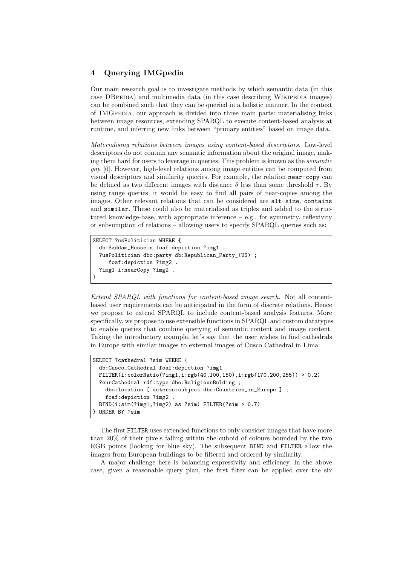## 4 Querying IMGpedia

Our main research goal is to investigate methods by which semantic data (in this case DBPEDIA) and multimedia data (in this case describing WIKIPEDIA images) can be combined such that they can be queried in a holistic manner. In the context of IMGPEDIA, our approach is divided into three main parts: materialising links between image resources, extending SPARQL to execute content-based analysis at runtime, and inferring new links between "primary entities" based on image data.

Materialising relations between images using content-based descriptors. Low-level descriptors do not contain any semantic information about the original image, making them hard for users to leverage in queries. This problem is known as the semantic gap [\[6\]](#page-3-5). However, high-level relations among image entities can be computed from visual descriptors and similarity queries. For example, the relation near-copy can be defined as two different images with distance  $\delta$  less than some threshold  $\tau$ . By using range queries, it would be easy to find all pairs of near-copies among the images. Other relevant relations that can be considered are alt-size, contains and similar. These could also be materialised as triples and added to the structured knowledge-base, with appropriate inference  $-$  e.g., for symmetry, reflexivity or subsumption of relations – allowing users to specify SPARQL queries such as:

```
SELECT ?usPolitician WHERE {
  db:Saddam_Hussein foaf:depiction ?img1 .
  ?usPolitician dbo:party db:Republican_Party_(US) ;
     foaf:depiction ?img2 .
  ?img1 i:nearCopy ?img2 .
}
```
Extend SPARQL with functions for content-based image search. Not all contentbased user requirements can be anticipated in the form of discrete relations. Hence we propose to extend SPARQL to include content-based analysis features. More specifically, we propose to use extensible functions in SPARQL and custom datatypes to enable queries that combine querying of semantic content and image content. Taking the introductory example, let's say that the user wishes to find cathedrals in Europe with similar images to external images of Cusco Cathedral in Lima:

```
SELECT ?cathedral ?sim WHERE {
  db:Cusco_Cathedral foaf:depiction ?img1 .
  FILTER(i:colorRatio(?img1,i:rgb(40,100,150),i:rgb(170,200,255)) > 0.2)
  ?eurCathedral rdf:type dbo:ReligiousBulding ;
    dbo:location [ dcterms:subject dbc:Countries_in_Europe ] ;
    foaf:depiction ?img2 .
  BIND(i:sim(?img1,?img2) as ?sim) FILTER(?sim > 0.7)
} ORDER BY ?sim
```
The first FILTER uses extended functions to only consider images that have more than 20% of their pixels falling within the cuboid of colours bounded by the two RGB points (looking for blue sky). The subsequent BIND and FILTER allow the images from European buildings to be filtered and ordered by similarity.

A major challenge here is balancing expressivity and efficiency. In the above case, given a reasonable query plan, the first filter can be applied over the six